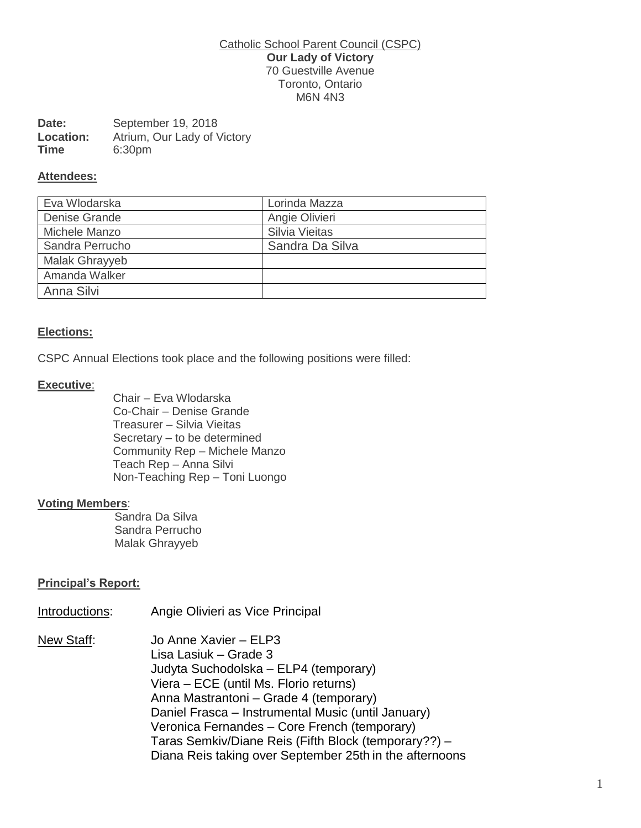#### Catholic School Parent Council (CSPC) **Our Lady of Victory** 70 Guestville Avenue Toronto, Ontario M6N 4N3

| Date:            | September 19, 2018          |
|------------------|-----------------------------|
| <b>Location:</b> | Atrium, Our Lady of Victory |
| Time             | 6:30pm                      |

#### **Attendees:**

| Eva Wlodarska   | Lorinda Mazza   |
|-----------------|-----------------|
| Denise Grande   | Angie Olivieri  |
| Michele Manzo   | Silvia Vieitas  |
| Sandra Perrucho | Sandra Da Silva |
| Malak Ghrayyeb  |                 |
| Amanda Walker   |                 |
| Anna Silvi      |                 |

### **Elections:**

CSPC Annual Elections took place and the following positions were filled:

#### **Executive**:

Chair – Eva Wlodarska Co-Chair – Denise Grande Treasurer – Silvia Vieitas Secretary – to be determined Community Rep – Michele Manzo Teach Rep – Anna Silvi Non-Teaching Rep – Toni Luongo

### **Voting Members**:

 Sandra Da Silva Sandra Perrucho Malak Ghrayyeb

### **Principal's Report:**

Introductions: Angie Olivieri as Vice Principal

New Staff: Jo Anne Xavier – ELP3 Lisa Lasiuk – Grade 3 Judyta Suchodolska – ELP4 (temporary) Viera – ECE (until Ms. Florio returns) Anna Mastrantoni – Grade 4 (temporary) Daniel Frasca – Instrumental Music (until January) Veronica Fernandes – Core French (temporary) Taras Semkiv/Diane Reis (Fifth Block (temporary??) – Diana Reis taking over September 25th in the afternoons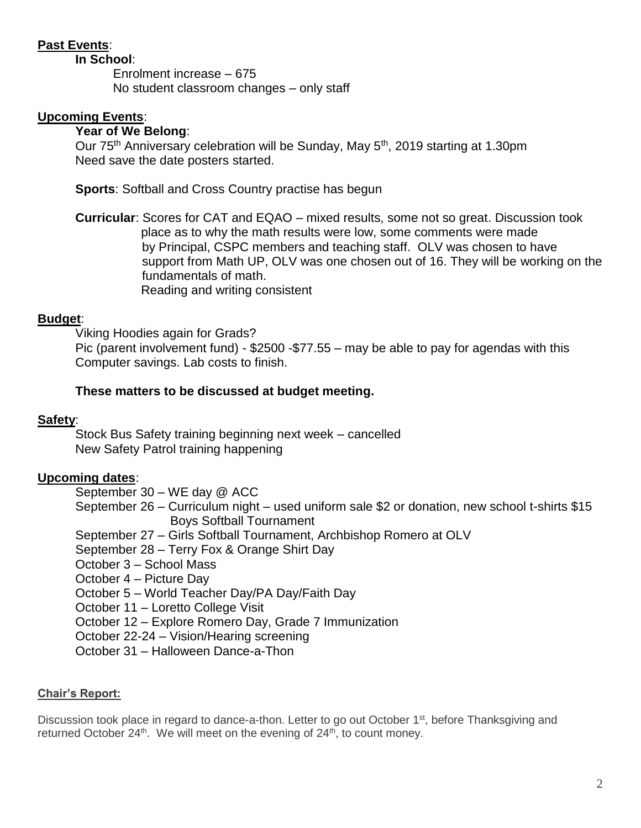# **Past Events**:

**In School**:

Enrolment increase – 675 No student classroom changes – only staff

# **Upcoming Events**:

## **Year of We Belong**:

Our 75<sup>th</sup> Anniversary celebration will be Sunday, May 5<sup>th</sup>, 2019 starting at 1.30pm Need save the date posters started.

**Sports**: Softball and Cross Country practise has begun

**Curricular**: Scores for CAT and EQAO – mixed results, some not so great. Discussion took place as to why the math results were low, some comments were made by Principal, CSPC members and teaching staff. OLV was chosen to have support from Math UP, OLV was one chosen out of 16. They will be working on the fundamentals of math. Reading and writing consistent

## **Budget**:

Viking Hoodies again for Grads? Pic (parent involvement fund) - \$2500 -\$77.55 – may be able to pay for agendas with this Computer savings. Lab costs to finish.

## **These matters to be discussed at budget meeting.**

## **Safety**:

Stock Bus Safety training beginning next week – cancelled New Safety Patrol training happening

# **Upcoming dates**:

September 30 – WE day @ ACC

- September 26 Curriculum night used uniform sale \$2 or donation, new school t-shirts \$15 Boys Softball Tournament
- September 27 Girls Softball Tournament, Archbishop Romero at OLV

September 28 – Terry Fox & Orange Shirt Day

October 3 – School Mass

October 4 – Picture Day

October 5 – World Teacher Day/PA Day/Faith Day

October 11 – Loretto College Visit

October 12 – Explore Romero Day, Grade 7 Immunization

October 22-24 – Vision/Hearing screening

October 31 – Halloween Dance-a-Thon

## **Chair's Report:**

Discussion took place in regard to dance-a-thon. Letter to go out October 1<sup>st</sup>, before Thanksgiving and returned October  $24<sup>th</sup>$ . We will meet on the evening of  $24<sup>th</sup>$ , to count money.